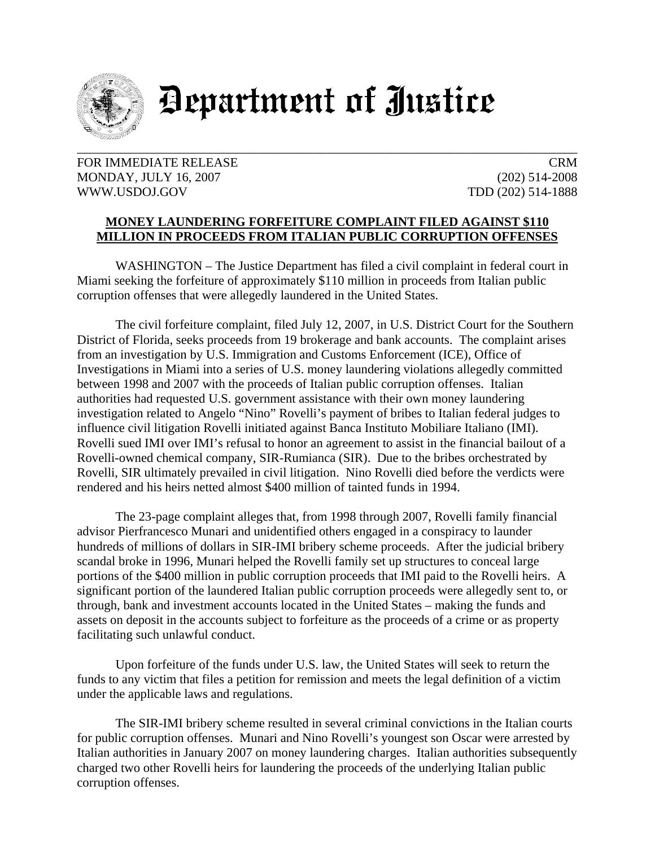

## Department of Justice

FOR IMMEDIATE RELEASE CRM MONDAY, JULY 16, 2007 (202) 514-2008 WWW.USDOJ.GOV TDD (202) 514-1888

## **MONEY LAUNDERING FORFEITURE COMPLAINT FILED AGAINST \$110 MILLION IN PROCEEDS FROM ITALIAN PUBLIC CORRUPTION OFFENSES**

 WASHINGTON – The Justice Department has filed a civil complaint in federal court in Miami seeking the forfeiture of approximately \$110 million in proceeds from Italian public corruption offenses that were allegedly laundered in the United States.

 The civil forfeiture complaint, filed July 12, 2007, in U.S. District Court for the Southern District of Florida, seeks proceeds from 19 brokerage and bank accounts. The complaint arises from an investigation by U.S. Immigration and Customs Enforcement (ICE), Office of Investigations in Miami into a series of U.S. money laundering violations allegedly committed between 1998 and 2007 with the proceeds of Italian public corruption offenses. Italian authorities had requested U.S. government assistance with their own money laundering investigation related to Angelo "Nino" Rovelli's payment of bribes to Italian federal judges to influence civil litigation Rovelli initiated against Banca Instituto Mobiliare Italiano (IMI). Rovelli sued IMI over IMI's refusal to honor an agreement to assist in the financial bailout of a Rovelli-owned chemical company, SIR-Rumianca (SIR). Due to the bribes orchestrated by Rovelli, SIR ultimately prevailed in civil litigation. Nino Rovelli died before the verdicts were rendered and his heirs netted almost \$400 million of tainted funds in 1994.

The 23-page complaint alleges that, from 1998 through 2007, Rovelli family financial advisor Pierfrancesco Munari and unidentified others engaged in a conspiracy to launder hundreds of millions of dollars in SIR-IMI bribery scheme proceeds. After the judicial bribery scandal broke in 1996, Munari helped the Rovelli family set up structures to conceal large portions of the \$400 million in public corruption proceeds that IMI paid to the Rovelli heirs. A significant portion of the laundered Italian public corruption proceeds were allegedly sent to, or through, bank and investment accounts located in the United States – making the funds and assets on deposit in the accounts subject to forfeiture as the proceeds of a crime or as property facilitating such unlawful conduct.

 Upon forfeiture of the funds under U.S. law, the United States will seek to return the funds to any victim that files a petition for remission and meets the legal definition of a victim under the applicable laws and regulations.

 The SIR-IMI bribery scheme resulted in several criminal convictions in the Italian courts for public corruption offenses. Munari and Nino Rovelli's youngest son Oscar were arrested by Italian authorities in January 2007 on money laundering charges. Italian authorities subsequently charged two other Rovelli heirs for laundering the proceeds of the underlying Italian public corruption offenses.